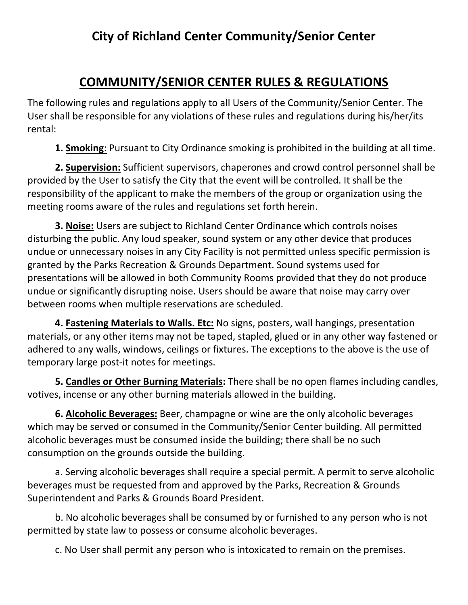## **COMMUNITY/SENIOR CENTER RULES & REGULATIONS**

The following rules and regulations apply to all Users of the Community/Senior Center. The User shall be responsible for any violations of these rules and regulations during his/her/its rental:

**1. Smoking**: Pursuant to City Ordinance smoking is prohibited in the building at all time.

**2. Supervision:** Sufficient supervisors, chaperones and crowd control personnel shall be provided by the User to satisfy the City that the event will be controlled. It shall be the responsibility of the applicant to make the members of the group or organization using the meeting rooms aware of the rules and regulations set forth herein.

**3. Noise:** Users are subject to Richland Center Ordinance which controls noises disturbing the public. Any loud speaker, sound system or any other device that produces undue or unnecessary noises in any City Facility is not permitted unless specific permission is granted by the Parks Recreation & Grounds Department. Sound systems used for presentations will be allowed in both Community Rooms provided that they do not produce undue or significantly disrupting noise. Users should be aware that noise may carry over between rooms when multiple reservations are scheduled.

**4. Fastening Materials to Walls. Etc:** No signs, posters, wall hangings, presentation materials, or any other items may not be taped, stapled, glued or in any other way fastened or adhered to any walls, windows, ceilings or fixtures. The exceptions to the above is the use of temporary large post-it notes for meetings.

**5. Candles or Other Burning Materials:** There shall be no open flames including candles, votives, incense or any other burning materials allowed in the building.

**6. Alcoholic Beverages:** Beer, champagne or wine are the only alcoholic beverages which may be served or consumed in the Community/Senior Center building. All permitted alcoholic beverages must be consumed inside the building; there shall be no such consumption on the grounds outside the building.

a. Serving alcoholic beverages shall require a special permit. A permit to serve alcoholic beverages must be requested from and approved by the Parks, Recreation & Grounds Superintendent and Parks & Grounds Board President.

b. No alcoholic beverages shall be consumed by or furnished to any person who is not permitted by state law to possess or consume alcoholic beverages.

c. No User shall permit any person who is intoxicated to remain on the premises.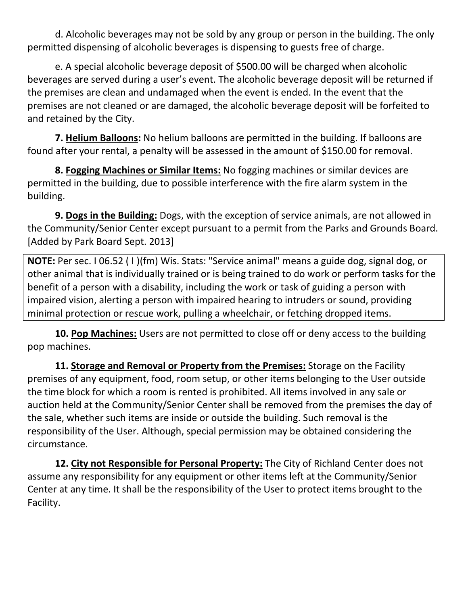d. Alcoholic beverages may not be sold by any group or person in the building. The only permitted dispensing of alcoholic beverages is dispensing to guests free of charge.

e. A special alcoholic beverage deposit of \$500.00 will be charged when alcoholic beverages are served during a user's event. The alcoholic beverage deposit will be returned if the premises are clean and undamaged when the event is ended. In the event that the premises are not cleaned or are damaged, the alcoholic beverage deposit will be forfeited to and retained by the City.

**7. Helium Balloons:** No helium balloons are permitted in the building. If balloons are found after your rental, a penalty will be assessed in the amount of \$150.00 for removal.

**8. Fogging Machines or Similar Items:** No fogging machines or similar devices are permitted in the building, due to possible interference with the fire alarm system in the building.

**9. Dogs in the Building:** Dogs, with the exception of service animals, are not allowed in the Community/Senior Center except pursuant to a permit from the Parks and Grounds Board. [Added by Park Board Sept. 2013]

**NOTE:** Per sec. I 06.52 ( I )(fm) Wis. Stats: "Service animal" means a guide dog, signal dog, or other animal that is individually trained or is being trained to do work or perform tasks for the benefit of a person with a disability, including the work or task of guiding a person with impaired vision, alerting a person with impaired hearing to intruders or sound, providing minimal protection or rescue work, pulling a wheelchair, or fetching dropped items.

**10. Pop Machines:** Users are not permitted to close off or deny access to the building pop machines.

**11. Storage and Removal or Property from the Premises:** Storage on the Facility premises of any equipment, food, room setup, or other items belonging to the User outside the time block for which a room is rented is prohibited. All items involved in any sale or auction held at the Community/Senior Center shall be removed from the premises the day of the sale, whether such items are inside or outside the building. Such removal is the responsibility of the User. Although, special permission may be obtained considering the circumstance.

**12. City not Responsible for Personal Property:** The City of Richland Center does not assume any responsibility for any equipment or other items left at the Community/Senior Center at any time. It shall be the responsibility of the User to protect items brought to the Facility.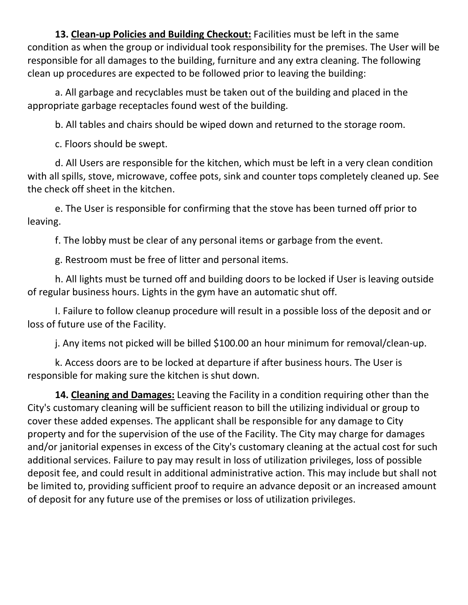**13. Clean-up Policies and Building Checkout:** Facilities must be left in the same condition as when the group or individual took responsibility for the premises. The User will be responsible for all damages to the building, furniture and any extra cleaning. The following clean up procedures are expected to be followed prior to leaving the building:

a. All garbage and recyclables must be taken out of the building and placed in the appropriate garbage receptacles found west of the building.

b. All tables and chairs should be wiped down and returned to the storage room.

c. Floors should be swept.

d. All Users are responsible for the kitchen, which must be left in a very clean condition with all spills, stove, microwave, coffee pots, sink and counter tops completely cleaned up. See the check off sheet in the kitchen.

e. The User is responsible for confirming that the stove has been turned off prior to leaving.

f. The lobby must be clear of any personal items or garbage from the event.

g. Restroom must be free of litter and personal items.

h. All lights must be turned off and building doors to be locked if User is leaving outside of regular business hours. Lights in the gym have an automatic shut off.

I. Failure to follow cleanup procedure will result in a possible loss of the deposit and or loss of future use of the Facility.

j. Any items not picked will be billed \$100.00 an hour minimum for removal/clean-up.

k. Access doors are to be locked at departure if after business hours. The User is responsible for making sure the kitchen is shut down.

**14. Cleaning and Damages:** Leaving the Facility in a condition requiring other than the City's customary cleaning will be sufficient reason to bill the utilizing individual or group to cover these added expenses. The applicant shall be responsible for any damage to City property and for the supervision of the use of the Facility. The City may charge for damages and/or janitorial expenses in excess of the City's customary cleaning at the actual cost for such additional services. Failure to pay may result in loss of utilization privileges, loss of possible deposit fee, and could result in additional administrative action. This may include but shall not be limited to, providing sufficient proof to require an advance deposit or an increased amount of deposit for any future use of the premises or loss of utilization privileges.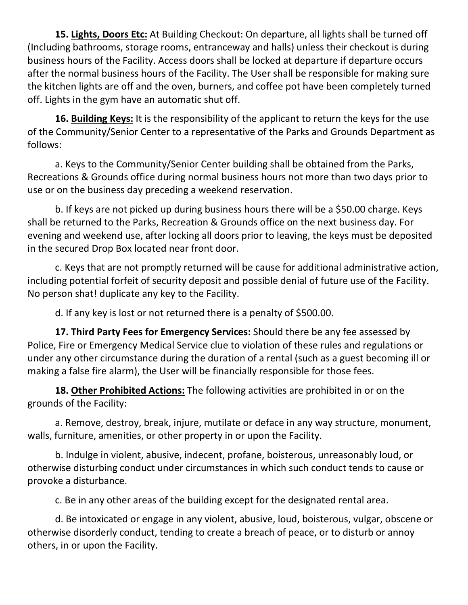**15. Lights, Doors Etc:** At Building Checkout: On departure, all lights shall be turned off (Including bathrooms, storage rooms, entranceway and halls) unless their checkout is during business hours of the Facility. Access doors shall be locked at departure if departure occurs after the normal business hours of the Facility. The User shall be responsible for making sure the kitchen lights are off and the oven, burners, and coffee pot have been completely turned off. Lights in the gym have an automatic shut off.

**16. Building Keys:** It is the responsibility of the applicant to return the keys for the use of the Community/Senior Center to a representative of the Parks and Grounds Department as follows:

a. Keys to the Community/Senior Center building shall be obtained from the Parks, Recreations & Grounds office during normal business hours not more than two days prior to use or on the business day preceding a weekend reservation.

b. If keys are not picked up during business hours there will be a \$50.00 charge. Keys shall be returned to the Parks, Recreation & Grounds office on the next business day. For evening and weekend use, after locking all doors prior to leaving, the keys must be deposited in the secured Drop Box located near front door.

c. Keys that are not promptly returned will be cause for additional administrative action, including potential forfeit of security deposit and possible denial of future use of the Facility. No person shat! duplicate any key to the Facility.

d. If any key is lost or not returned there is a penalty of \$500.00.

**17. Third Party Fees for Emergency Services:** Should there be any fee assessed by Police, Fire or Emergency Medical Service clue to violation of these rules and regulations or under any other circumstance during the duration of a rental (such as a guest becoming ill or making a false fire alarm), the User will be financially responsible for those fees.

**18. Other Prohibited Actions:** The following activities are prohibited in or on the grounds of the Facility:

a. Remove, destroy, break, injure, mutilate or deface in any way structure, monument, walls, furniture, amenities, or other property in or upon the Facility.

b. Indulge in violent, abusive, indecent, profane, boisterous, unreasonably loud, or otherwise disturbing conduct under circumstances in which such conduct tends to cause or provoke a disturbance.

c. Be in any other areas of the building except for the designated rental area.

d. Be intoxicated or engage in any violent, abusive, loud, boisterous, vulgar, obscene or otherwise disorderly conduct, tending to create a breach of peace, or to disturb or annoy others, in or upon the Facility.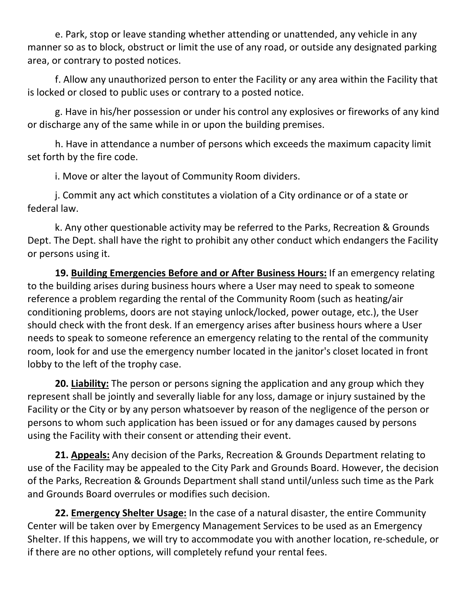e. Park, stop or leave standing whether attending or unattended, any vehicle in any manner so as to block, obstruct or limit the use of any road, or outside any designated parking area, or contrary to posted notices.

f. Allow any unauthorized person to enter the Facility or any area within the Facility that is locked or closed to public uses or contrary to a posted notice.

g. Have in his/her possession or under his control any explosives or fireworks of any kind or discharge any of the same while in or upon the building premises.

h. Have in attendance a number of persons which exceeds the maximum capacity limit set forth by the fire code.

i. Move or alter the layout of Community Room dividers.

j. Commit any act which constitutes a violation of a City ordinance or of a state or federal law.

k. Any other questionable activity may be referred to the Parks, Recreation & Grounds Dept. The Dept. shall have the right to prohibit any other conduct which endangers the Facility or persons using it.

**19. Building Emergencies Before and or After Business Hours:** If an emergency relating to the building arises during business hours where a User may need to speak to someone reference a problem regarding the rental of the Community Room (such as heating/air conditioning problems, doors are not staying unlock/locked, power outage, etc.), the User should check with the front desk. If an emergency arises after business hours where a User needs to speak to someone reference an emergency relating to the rental of the community room, look for and use the emergency number located in the janitor's closet located in front lobby to the left of the trophy case.

**20. Liability:** The person or persons signing the application and any group which they represent shall be jointly and severally liable for any loss, damage or injury sustained by the Facility or the City or by any person whatsoever by reason of the negligence of the person or persons to whom such application has been issued or for any damages caused by persons using the Facility with their consent or attending their event.

**21. Appeals:** Any decision of the Parks, Recreation & Grounds Department relating to use of the Facility may be appealed to the City Park and Grounds Board. However, the decision of the Parks, Recreation & Grounds Department shall stand until/unless such time as the Park and Grounds Board overrules or modifies such decision.

**22. Emergency Shelter Usage:** In the case of a natural disaster, the entire Community Center will be taken over by Emergency Management Services to be used as an Emergency Shelter. If this happens, we will try to accommodate you with another location, re-schedule, or if there are no other options, will completely refund your rental fees.